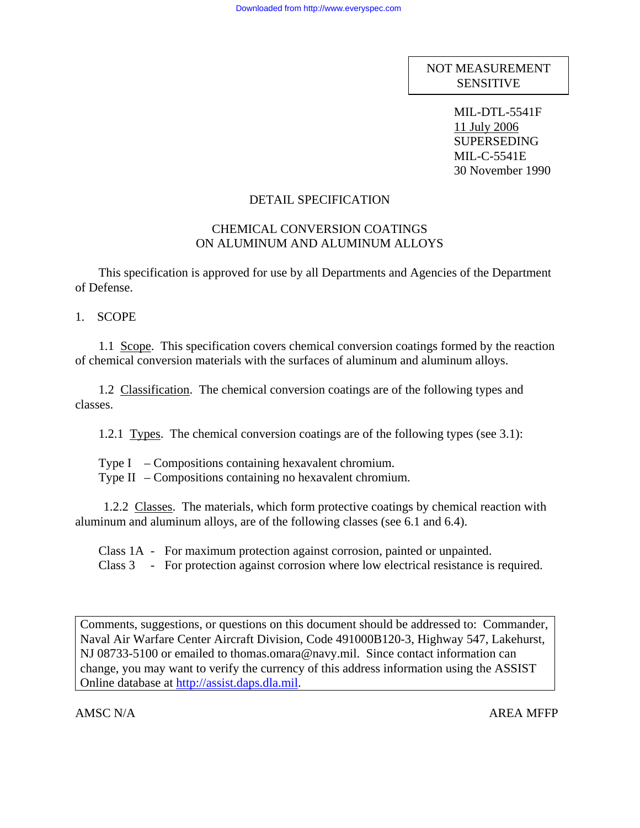NOT MEASUREMENT **SENSITIVE** 

> MIL-DTL-5541F 11 July 2006 SUPERSEDING MIL-C-5541E 30 November 1990

### DETAIL SPECIFICATION

# CHEMICAL CONVERSION COATINGS ON ALUMINUM AND ALUMINUM ALLOYS

 This specification is approved for use by all Departments and Agencies of the Department of Defense.

1. SCOPE

 1.1 Scope. This specification covers chemical conversion coatings formed by the reaction of chemical conversion materials with the surfaces of aluminum and aluminum alloys.

 1.2 Classification. The chemical conversion coatings are of the following types and classes.

1.2.1 Types. The chemical conversion coatings are of the following types (see 3.1):

Type  $I - Compositions containing hexavalent chromium.$ Type II – Compositions containing no hexavalent chromium.

 1.2.2 Classes. The materials, which form protective coatings by chemical reaction with aluminum and aluminum alloys, are of the following classes (see 6.1 and 6.4).

 Class 1A - For maximum protection against corrosion, painted or unpainted. Class 3 - For protection against corrosion where low electrical resistance is required.

Comments, suggestions, or questions on this document should be addressed to: Commander, Naval Air Warfare Center Aircraft Division, Code 491000B120-3, Highway 547, Lakehurst, NJ 08733-5100 or emailed to thomas.omara@navy.mil. Since contact information can change, you may want to verify the currency of this address information using the ASSIST Online database at [http://assist.daps.dla.mil](http://assist.daps.dla.mil/).

AMSC N/A  $\overline{A}$  AREA MFFP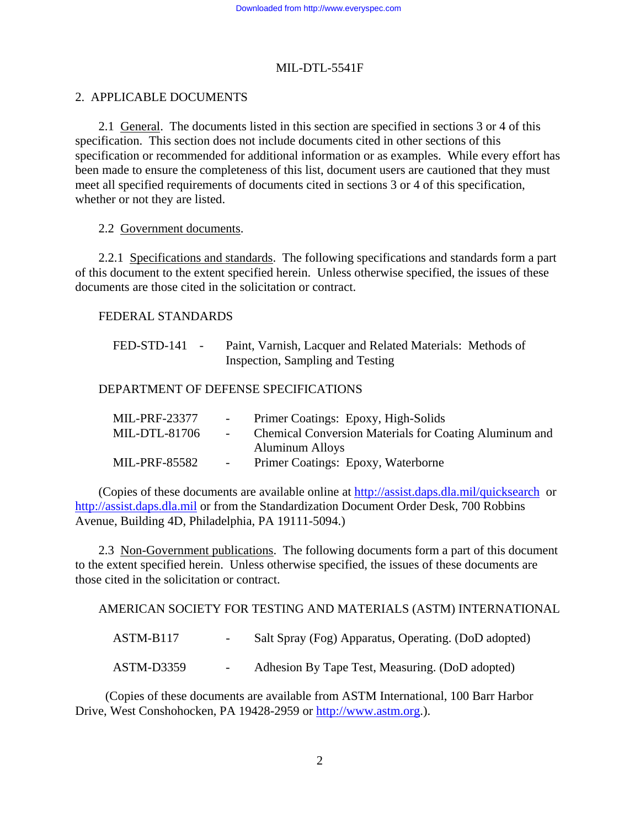# 2. APPLICABLE DOCUMENTS

 2.1 General. The documents listed in this section are specified in sections 3 or 4 of this specification. This section does not include documents cited in other sections of this specification or recommended for additional information or as examples. While every effort has been made to ensure the completeness of this list, document users are cautioned that they must meet all specified requirements of documents cited in sections 3 or 4 of this specification, whether or not they are listed.

### 2.2 Government documents.

 2.2.1 Specifications and standards. The following specifications and standards form a part of this document to the extent specified herein. Unless otherwise specified, the issues of these documents are those cited in the solicitation or contract.

# FEDERAL STANDARDS

| $FED-STD-141$ - | Paint, Varnish, Lacquer and Related Materials: Methods of |  |
|-----------------|-----------------------------------------------------------|--|
|                 | Inspection, Sampling and Testing                          |  |

# DEPARTMENT OF DEFENSE SPECIFICATIONS

| MIL-PRF-23377 | $\sim$ 100 $\mu$ | Primer Coatings: Epoxy, High-Solids                           |
|---------------|------------------|---------------------------------------------------------------|
| MIL-DTL-81706 | $\sim$ 100 $\mu$ | <b>Chemical Conversion Materials for Coating Aluminum and</b> |
|               |                  | <b>Aluminum Alloys</b>                                        |
| MIL-PRF-85582 |                  | Primer Coatings: Epoxy, Waterborne                            |

 (Copies of these documents are available online at<http://assist.daps.dla.mil/quicksearch>or [http://assist.daps.dla.mil](http://assist.daps.dla.mil/) or from the Standardization Document Order Desk, 700 Robbins Avenue, Building 4D, Philadelphia, PA 19111-5094.)

2.3 Non-Government publications. The following documents form a part of this document to the extent specified herein. Unless otherwise specified, the issues of these documents are those cited in the solicitation or contract.

AMERICAN SOCIETY FOR TESTING AND MATERIALS (ASTM) INTERNATIONAL

| $ASTM-B117$ | Salt Spray (Fog) Apparatus, Operating. (DoD adopted) |
|-------------|------------------------------------------------------|
| ASTM-D3359  | Adhesion By Tape Test, Measuring. (DoD adopted)      |

 (Copies of these documents are available from ASTM International, 100 Barr Harbor Drive, West Conshohocken, PA 19428-2959 or [http://www.astm.org](http://www.astm.org/).).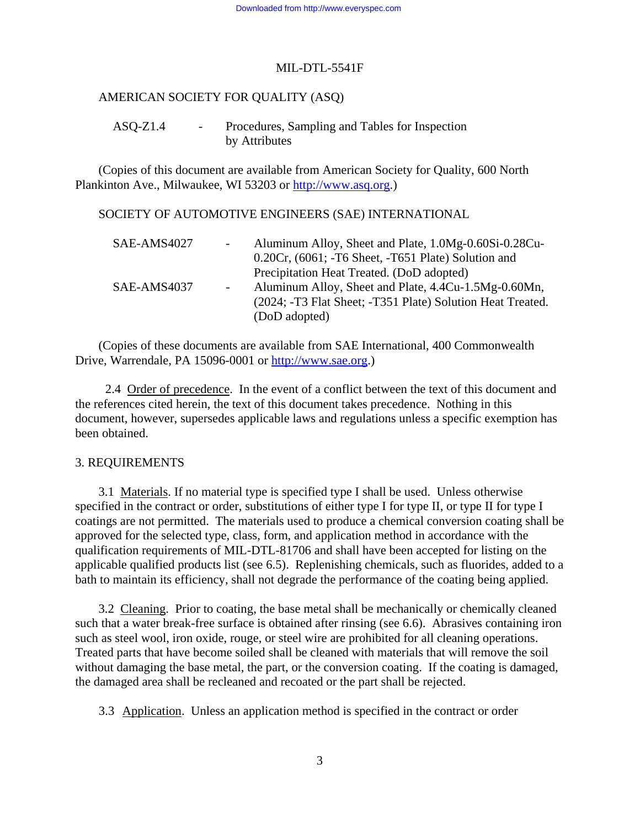# AMERICAN SOCIETY FOR QUALITY (ASQ)

# ASQ-Z1.4 - Procedures, Sampling and Tables for Inspection by Attributes

 (Copies of this document are available from American Society for Quality, 600 North Plankinton Ave., Milwaukee, WI 53203 or [http://www.asq.org](http://www.asq.org/).)

#### SOCIETY OF AUTOMOTIVE ENGINEERS (SAE) INTERNATIONAL

| SAE-AMS4027 | Aluminum Alloy, Sheet and Plate, 1.0Mg-0.60Si-0.28Cu-      |
|-------------|------------------------------------------------------------|
|             | 0.20Cr, (6061; -T6 Sheet, -T651 Plate) Solution and        |
|             | Precipitation Heat Treated. (DoD adopted)                  |
| SAE-AMS4037 | Aluminum Alloy, Sheet and Plate, 4.4Cu-1.5Mg-0.60Mn,       |
|             | (2024; -T3 Flat Sheet; -T351 Plate) Solution Heat Treated. |
|             | (DoD adopted)                                              |

 (Copies of these documents are available from SAE International, 400 Commonwealth Drive, Warrendale, PA 15096-0001 or [http://www.sae.org.](http://www.sae.org/))

 2.4 Order of precedence. In the event of a conflict between the text of this document and the references cited herein, the text of this document takes precedence. Nothing in this document, however, supersedes applicable laws and regulations unless a specific exemption has been obtained.

#### 3. REQUIREMENTS

 3.1 Materials. If no material type is specified type I shall be used. Unless otherwise specified in the contract or order, substitutions of either type I for type II, or type II for type I coatings are not permitted. The materials used to produce a chemical conversion coating shall be approved for the selected type, class, form, and application method in accordance with the qualification requirements of MIL-DTL-81706 and shall have been accepted for listing on the applicable qualified products list (see 6.5). Replenishing chemicals, such as fluorides, added to a bath to maintain its efficiency, shall not degrade the performance of the coating being applied.

 3.2 Cleaning. Prior to coating, the base metal shall be mechanically or chemically cleaned such that a water break-free surface is obtained after rinsing (see 6.6). Abrasives containing iron such as steel wool, iron oxide, rouge, or steel wire are prohibited for all cleaning operations. Treated parts that have become soiled shall be cleaned with materials that will remove the soil without damaging the base metal, the part, or the conversion coating. If the coating is damaged, the damaged area shall be recleaned and recoated or the part shall be rejected.

3.3 Application. Unless an application method is specified in the contract or order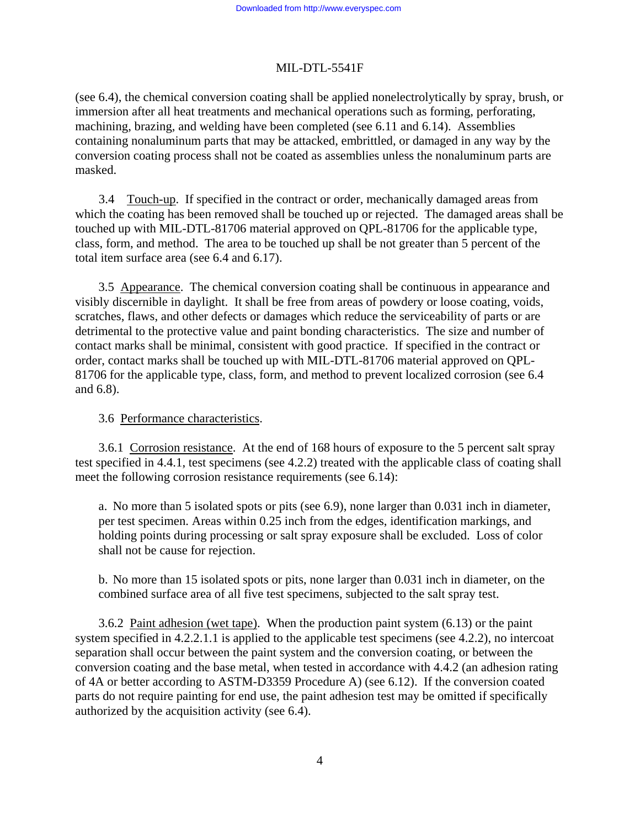(see 6.4), the chemical conversion coating shall be applied nonelectrolytically by spray, brush, or immersion after all heat treatments and mechanical operations such as forming, perforating, machining, brazing, and welding have been completed (see 6.11 and 6.14). Assemblies containing nonaluminum parts that may be attacked, embrittled, or damaged in any way by the conversion coating process shall not be coated as assemblies unless the nonaluminum parts are masked.

 3.4 Touch-up. If specified in the contract or order, mechanically damaged areas from which the coating has been removed shall be touched up or rejected. The damaged areas shall be touched up with MIL-DTL-81706 material approved on QPL-81706 for the applicable type, class, form, and method. The area to be touched up shall be not greater than 5 percent of the total item surface area (see 6.4 and 6.17).

 3.5 Appearance. The chemical conversion coating shall be continuous in appearance and visibly discernible in daylight. It shall be free from areas of powdery or loose coating, voids, scratches, flaws, and other defects or damages which reduce the serviceability of parts or are detrimental to the protective value and paint bonding characteristics. The size and number of contact marks shall be minimal, consistent with good practice. If specified in the contract or order, contact marks shall be touched up with MIL-DTL-81706 material approved on QPL-81706 for the applicable type, class, form, and method to prevent localized corrosion (see 6.4 and 6.8).

# 3.6 Performance characteristics.

 3.6.1 Corrosion resistance. At the end of 168 hours of exposure to the 5 percent salt spray test specified in 4.4.1, test specimens (see 4.2.2) treated with the applicable class of coating shall meet the following corrosion resistance requirements (see 6.14):

a. No more than 5 isolated spots or pits (see 6.9), none larger than 0.031 inch in diameter, per test specimen. Areas within 0.25 inch from the edges, identification markings, and holding points during processing or salt spray exposure shall be excluded. Loss of color shall not be cause for rejection.

b. No more than 15 isolated spots or pits, none larger than 0.031 inch in diameter, on the combined surface area of all five test specimens, subjected to the salt spray test.

 3.6.2 Paint adhesion (wet tape). When the production paint system (6.13) or the paint system specified in 4.2.2.1.1 is applied to the applicable test specimens (see 4.2.2), no intercoat separation shall occur between the paint system and the conversion coating, or between the conversion coating and the base metal, when tested in accordance with 4.4.2 (an adhesion rating of 4A or better according to ASTM-D3359 Procedure A) (see 6.12). If the conversion coated parts do not require painting for end use, the paint adhesion test may be omitted if specifically authorized by the acquisition activity (see 6.4).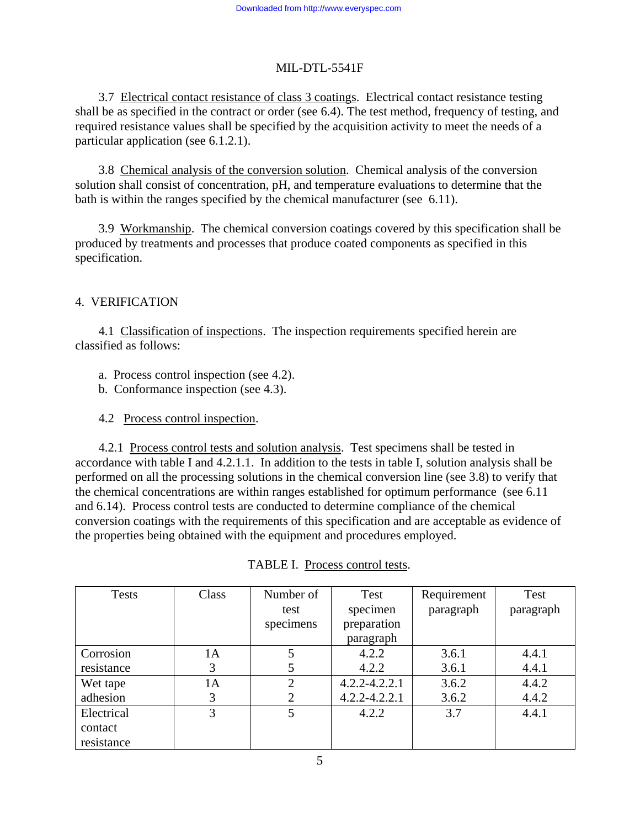3.7 Electrical contact resistance of class 3 coatings. Electrical contact resistance testing shall be as specified in the contract or order (see 6.4). The test method, frequency of testing, and required resistance values shall be specified by the acquisition activity to meet the needs of a particular application (see 6.1.2.1).

 3.8 Chemical analysis of the conversion solution. Chemical analysis of the conversion solution shall consist of concentration, pH, and temperature evaluations to determine that the bath is within the ranges specified by the chemical manufacturer (see 6.11).

 3.9 Workmanship. The chemical conversion coatings covered by this specification shall be produced by treatments and processes that produce coated components as specified in this specification.

# 4. VERIFICATION

 4.1 Classification of inspections. The inspection requirements specified herein are classified as follows:

- a. Process control inspection (see 4.2).
- b. Conformance inspection (see 4.3).
- 4.2 Process control inspection.

 4.2.1 Process control tests and solution analysis. Test specimens shall be tested in accordance with table I and 4.2.1.1. In addition to the tests in table I, solution analysis shall be performed on all the processing solutions in the chemical conversion line (see 3.8) to verify that the chemical concentrations are within ranges established for optimum performance (see 6.11 and 6.14). Process control tests are conducted to determine compliance of the chemical conversion coatings with the requirements of this specification and are acceptable as evidence of the properties being obtained with the equipment and procedures employed.

| <b>Tests</b> | Class | Number of      | Test              | Requirement | Test      |
|--------------|-------|----------------|-------------------|-------------|-----------|
|              |       | test           | specimen          | paragraph   | paragraph |
|              |       | specimens      | preparation       |             |           |
|              |       |                | paragraph         |             |           |
| Corrosion    | 1A    | 5              | 4.2.2             | 3.6.1       | 4.4.1     |
| resistance   | 3     | 5              | 4.2.2             | 3.6.1       | 4.4.1     |
| Wet tape     | 1A    | $\overline{2}$ | $4.2.2 - 4.2.2.1$ | 3.6.2       | 4.4.2     |
| adhesion     | 3     | 2              | $4.2.2 - 4.2.2.1$ | 3.6.2       | 4.4.2     |
| Electrical   | 3     | 5              | 4.2.2             | 3.7         | 4.4.1     |
| contact      |       |                |                   |             |           |
| resistance   |       |                |                   |             |           |

| TABLE I. Process control tests. |  |
|---------------------------------|--|
|                                 |  |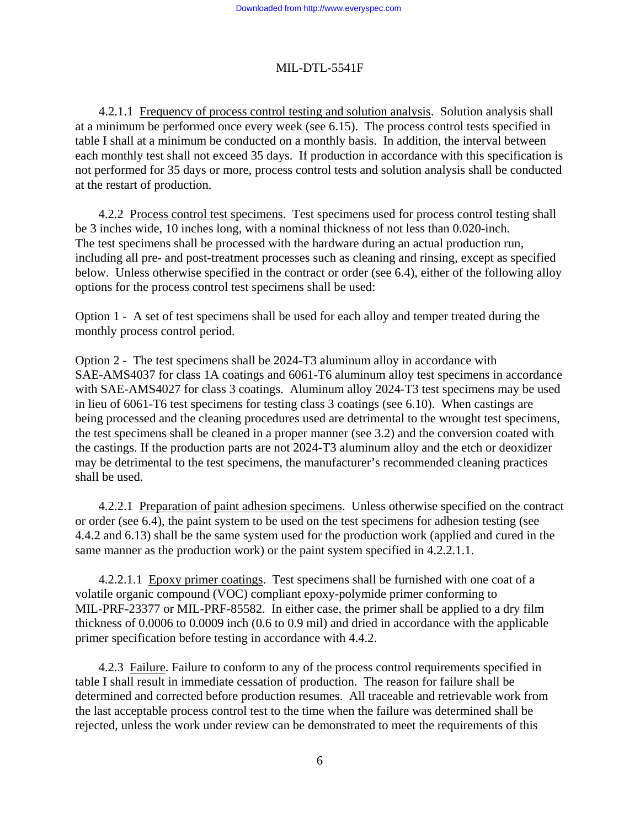4.2.1.1 Frequency of process control testing and solution analysis. Solution analysis shall at a minimum be performed once every week (see 6.15). The process control tests specified in table I shall at a minimum be conducted on a monthly basis. In addition, the interval between each monthly test shall not exceed 35 days. If production in accordance with this specification is not performed for 35 days or more, process control tests and solution analysis shall be conducted at the restart of production.

 4.2.2 Process control test specimens. Test specimens used for process control testing shall be 3 inches wide, 10 inches long, with a nominal thickness of not less than 0.020-inch. The test specimens shall be processed with the hardware during an actual production run, including all pre- and post-treatment processes such as cleaning and rinsing, except as specified below. Unless otherwise specified in the contract or order (see 6.4), either of the following alloy options for the process control test specimens shall be used:

Option 1 - A set of test specimens shall be used for each alloy and temper treated during the monthly process control period.

Option 2 - The test specimens shall be 2024-T3 aluminum alloy in accordance with SAE-AMS4037 for class 1A coatings and 6061-T6 aluminum alloy test specimens in accordance with SAE-AMS4027 for class 3 coatings. Aluminum alloy 2024-T3 test specimens may be used in lieu of 6061-T6 test specimens for testing class 3 coatings (see 6.10). When castings are being processed and the cleaning procedures used are detrimental to the wrought test specimens, the test specimens shall be cleaned in a proper manner (see 3.2) and the conversion coated with the castings. If the production parts are not 2024-T3 aluminum alloy and the etch or deoxidizer may be detrimental to the test specimens, the manufacturer's recommended cleaning practices shall be used.

 4.2.2.1 Preparation of paint adhesion specimens. Unless otherwise specified on the contract or order (see 6.4), the paint system to be used on the test specimens for adhesion testing (see 4.4.2 and 6.13) shall be the same system used for the production work (applied and cured in the same manner as the production work) or the paint system specified in 4.2.2.1.1.

 4.2.2.1.1 Epoxy primer coatings. Test specimens shall be furnished with one coat of a volatile organic compound (VOC) compliant epoxy-polymide primer conforming to MIL-PRF-23377 or MIL-PRF-85582. In either case, the primer shall be applied to a dry film thickness of 0.0006 to 0.0009 inch (0.6 to 0.9 mil) and dried in accordance with the applicable primer specification before testing in accordance with 4.4.2.

4.2.3 Failure. Failure to conform to any of the process control requirements specified in table I shall result in immediate cessation of production. The reason for failure shall be determined and corrected before production resumes. All traceable and retrievable work from the last acceptable process control test to the time when the failure was determined shall be rejected, unless the work under review can be demonstrated to meet the requirements of this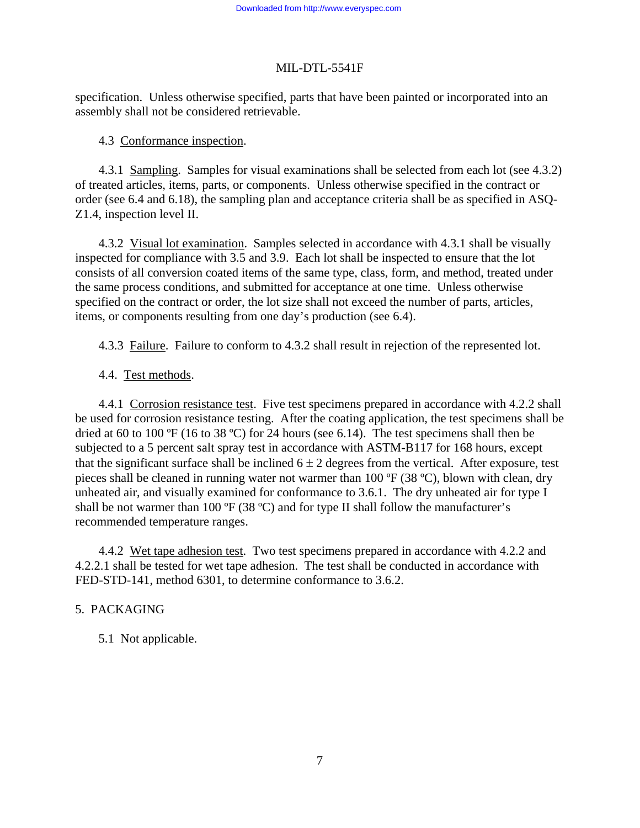specification. Unless otherwise specified, parts that have been painted or incorporated into an assembly shall not be considered retrievable.

# 4.3 Conformance inspection.

 4.3.1 Sampling. Samples for visual examinations shall be selected from each lot (see 4.3.2) of treated articles, items, parts, or components. Unless otherwise specified in the contract or order (see 6.4 and 6.18), the sampling plan and acceptance criteria shall be as specified in ASQ-Z1.4, inspection level II.

 4.3.2 Visual lot examination. Samples selected in accordance with 4.3.1 shall be visually inspected for compliance with 3.5 and 3.9. Each lot shall be inspected to ensure that the lot consists of all conversion coated items of the same type, class, form, and method, treated under the same process conditions, and submitted for acceptance at one time. Unless otherwise specified on the contract or order, the lot size shall not exceed the number of parts, articles, items, or components resulting from one day's production (see 6.4).

4.3.3 Failure. Failure to conform to 4.3.2 shall result in rejection of the represented lot.

4.4. Test methods.

 4.4.1 Corrosion resistance test. Five test specimens prepared in accordance with 4.2.2 shall be used for corrosion resistance testing. After the coating application, the test specimens shall be dried at 60 to 100  $\textdegree$ F (16 to 38  $\textdegree$ C) for 24 hours (see 6.14). The test specimens shall then be subjected to a 5 percent salt spray test in accordance with ASTM-B117 for 168 hours, except that the significant surface shall be inclined  $6 \pm 2$  degrees from the vertical. After exposure, test pieces shall be cleaned in running water not warmer than 100 ºF (38 ºC), blown with clean, dry unheated air, and visually examined for conformance to 3.6.1. The dry unheated air for type I shall be not warmer than 100  $\textdegree$ F (38  $\textdegree$ C) and for type II shall follow the manufacturer's recommended temperature ranges.

4.4.2 Wet tape adhesion test. Two test specimens prepared in accordance with 4.2.2 and 4.2.2.1 shall be tested for wet tape adhesion. The test shall be conducted in accordance with FED-STD-141, method 6301, to determine conformance to 3.6.2.

# 5. PACKAGING

5.1 Not applicable.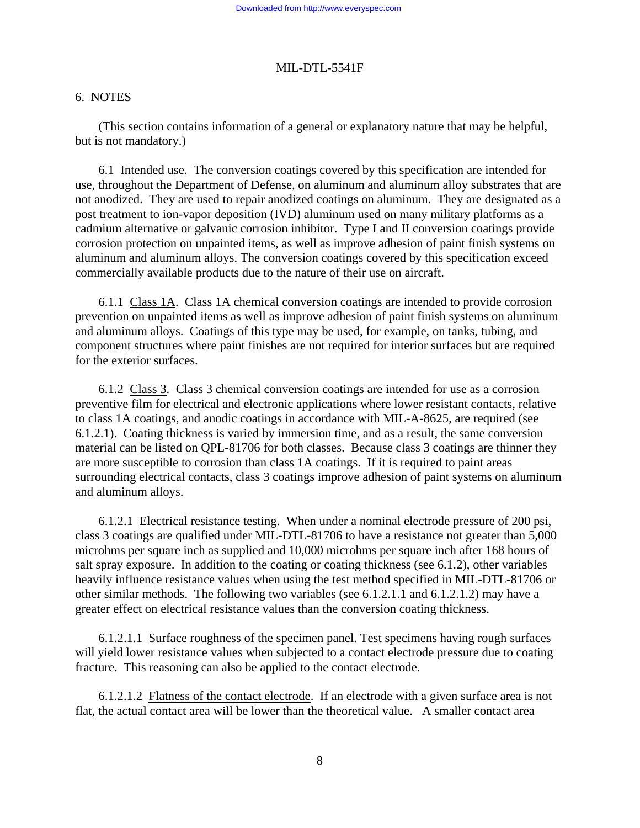# 6. NOTES

 (This section contains information of a general or explanatory nature that may be helpful, but is not mandatory.)

 6.1 Intended use. The conversion coatings covered by this specification are intended for use, throughout the Department of Defense, on aluminum and aluminum alloy substrates that are not anodized. They are used to repair anodized coatings on aluminum. They are designated as a post treatment to ion-vapor deposition (IVD) aluminum used on many military platforms as a cadmium alternative or galvanic corrosion inhibitor. Type I and II conversion coatings provide corrosion protection on unpainted items, as well as improve adhesion of paint finish systems on aluminum and aluminum alloys. The conversion coatings covered by this specification exceed commercially available products due to the nature of their use on aircraft.

 6.1.1 Class 1A. Class 1A chemical conversion coatings are intended to provide corrosion prevention on unpainted items as well as improve adhesion of paint finish systems on aluminum and aluminum alloys. Coatings of this type may be used, for example, on tanks, tubing, and component structures where paint finishes are not required for interior surfaces but are required for the exterior surfaces.

 6.1.2 Class 3. Class 3 chemical conversion coatings are intended for use as a corrosion preventive film for electrical and electronic applications where lower resistant contacts, relative to class 1A coatings, and anodic coatings in accordance with MIL-A-8625, are required (see 6.1.2.1). Coating thickness is varied by immersion time, and as a result, the same conversion material can be listed on QPL-81706 for both classes. Because class 3 coatings are thinner they are more susceptible to corrosion than class 1A coatings. If it is required to paint areas surrounding electrical contacts, class 3 coatings improve adhesion of paint systems on aluminum and aluminum alloys.

 6.1.2.1 Electrical resistance testing. When under a nominal electrode pressure of 200 psi, class 3 coatings are qualified under MIL-DTL-81706 to have a resistance not greater than 5,000 microhms per square inch as supplied and 10,000 microhms per square inch after 168 hours of salt spray exposure. In addition to the coating or coating thickness (see 6.1.2), other variables heavily influence resistance values when using the test method specified in MIL-DTL-81706 or other similar methods. The following two variables (see 6.1.2.1.1 and 6.1.2.1.2) may have a greater effect on electrical resistance values than the conversion coating thickness.

 6.1.2.1.1 Surface roughness of the specimen panel. Test specimens having rough surfaces will yield lower resistance values when subjected to a contact electrode pressure due to coating fracture. This reasoning can also be applied to the contact electrode.

 6.1.2.1.2 Flatness of the contact electrode. If an electrode with a given surface area is not flat, the actual contact area will be lower than the theoretical value. A smaller contact area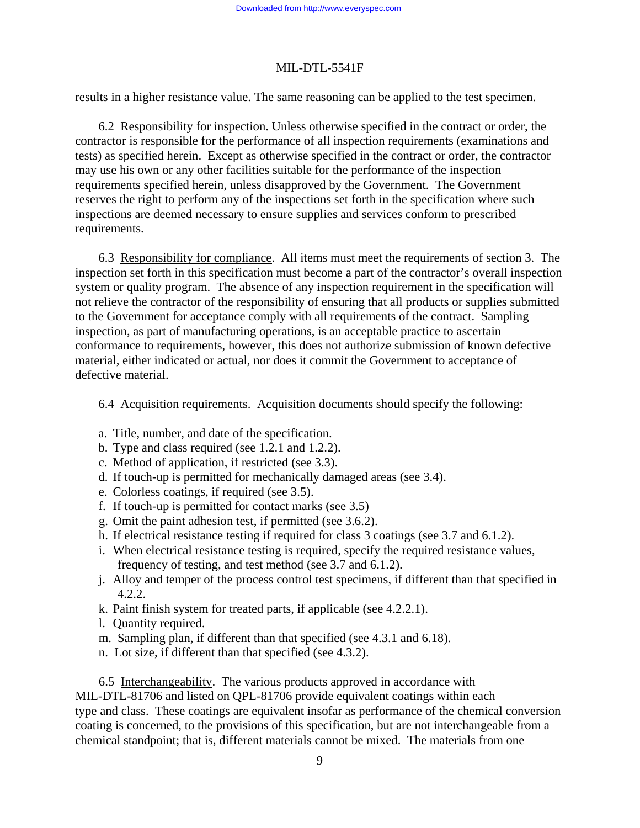results in a higher resistance value. The same reasoning can be applied to the test specimen.

 6.2 Responsibility for inspection. Unless otherwise specified in the contract or order, the contractor is responsible for the performance of all inspection requirements (examinations and tests) as specified herein. Except as otherwise specified in the contract or order, the contractor may use his own or any other facilities suitable for the performance of the inspection requirements specified herein, unless disapproved by the Government. The Government reserves the right to perform any of the inspections set forth in the specification where such inspections are deemed necessary to ensure supplies and services conform to prescribed requirements.

 6.3 Responsibility for compliance. All items must meet the requirements of section 3. The inspection set forth in this specification must become a part of the contractor's overall inspection system or quality program. The absence of any inspection requirement in the specification will not relieve the contractor of the responsibility of ensuring that all products or supplies submitted to the Government for acceptance comply with all requirements of the contract. Sampling inspection, as part of manufacturing operations, is an acceptable practice to ascertain conformance to requirements, however, this does not authorize submission of known defective material, either indicated or actual, nor does it commit the Government to acceptance of defective material.

6.4 Acquisition requirements. Acquisition documents should specify the following:

- a. Title, number, and date of the specification.
- b. Type and class required (see 1.2.1 and 1.2.2).
- c. Method of application, if restricted (see 3.3).
- d. If touch-up is permitted for mechanically damaged areas (see 3.4).
- e. Colorless coatings, if required (see 3.5).
- f. If touch-up is permitted for contact marks (see 3.5)
- g. Omit the paint adhesion test, if permitted (see 3.6.2).
- h. If electrical resistance testing if required for class 3 coatings (see 3.7 and 6.1.2).
- i. When electrical resistance testing is required, specify the required resistance values, frequency of testing, and test method (see 3.7 and 6.1.2).
- j. Alloy and temper of the process control test specimens, if different than that specified in 4.2.2.
- k. Paint finish system for treated parts, if applicable (see 4.2.2.1).
- l. Quantity required.
- m. Sampling plan, if different than that specified (see 4.3.1 and 6.18).
- n. Lot size, if different than that specified (see 4.3.2).

 6.5 Interchangeability. The various products approved in accordance with MIL-DTL-81706 and listed on QPL-81706 provide equivalent coatings within each type and class. These coatings are equivalent insofar as performance of the chemical conversion coating is concerned, to the provisions of this specification, but are not interchangeable from a chemical standpoint; that is, different materials cannot be mixed. The materials from one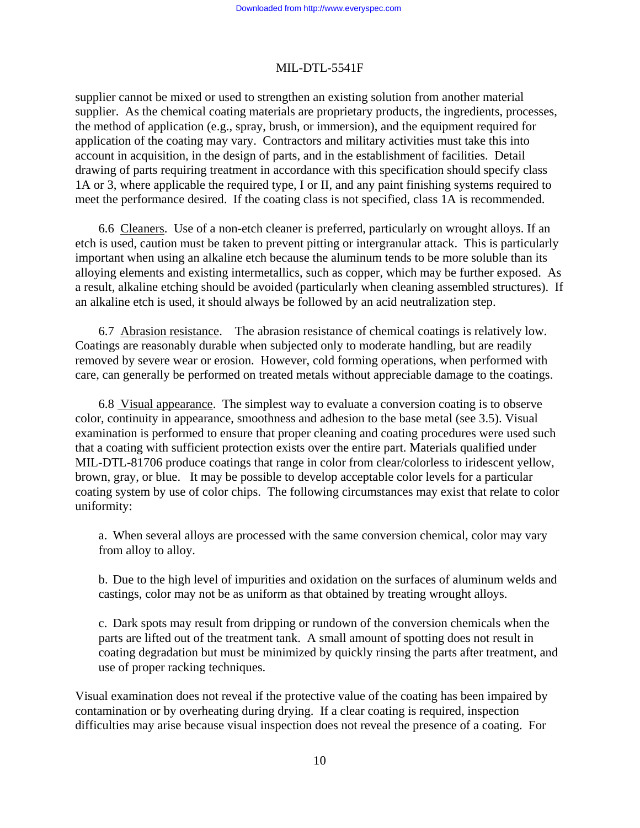supplier cannot be mixed or used to strengthen an existing solution from another material supplier. As the chemical coating materials are proprietary products, the ingredients, processes, the method of application (e.g., spray, brush, or immersion), and the equipment required for application of the coating may vary. Contractors and military activities must take this into account in acquisition, in the design of parts, and in the establishment of facilities. Detail drawing of parts requiring treatment in accordance with this specification should specify class 1A or 3, where applicable the required type, I or II, and any paint finishing systems required to meet the performance desired. If the coating class is not specified, class 1A is recommended.

 6.6 Cleaners. Use of a non-etch cleaner is preferred, particularly on wrought alloys. If an etch is used, caution must be taken to prevent pitting or intergranular attack. This is particularly important when using an alkaline etch because the aluminum tends to be more soluble than its alloying elements and existing intermetallics, such as copper, which may be further exposed. As a result, alkaline etching should be avoided (particularly when cleaning assembled structures). If an alkaline etch is used, it should always be followed by an acid neutralization step.

 6.7 Abrasion resistance. The abrasion resistance of chemical coatings is relatively low. Coatings are reasonably durable when subjected only to moderate handling, but are readily removed by severe wear or erosion. However, cold forming operations, when performed with care, can generally be performed on treated metals without appreciable damage to the coatings.

 6.8 Visual appearance. The simplest way to evaluate a conversion coating is to observe color, continuity in appearance, smoothness and adhesion to the base metal (see 3.5). Visual examination is performed to ensure that proper cleaning and coating procedures were used such that a coating with sufficient protection exists over the entire part. Materials qualified under MIL-DTL-81706 produce coatings that range in color from clear/colorless to iridescent yellow, brown, gray, or blue. It may be possible to develop acceptable color levels for a particular coating system by use of color chips. The following circumstances may exist that relate to color uniformity:

a. When several alloys are processed with the same conversion chemical, color may vary from alloy to alloy.

b. Due to the high level of impurities and oxidation on the surfaces of aluminum welds and castings, color may not be as uniform as that obtained by treating wrought alloys.

c. Dark spots may result from dripping or rundown of the conversion chemicals when the parts are lifted out of the treatment tank. A small amount of spotting does not result in coating degradation but must be minimized by quickly rinsing the parts after treatment, and use of proper racking techniques.

Visual examination does not reveal if the protective value of the coating has been impaired by contamination or by overheating during drying. If a clear coating is required, inspection difficulties may arise because visual inspection does not reveal the presence of a coating. For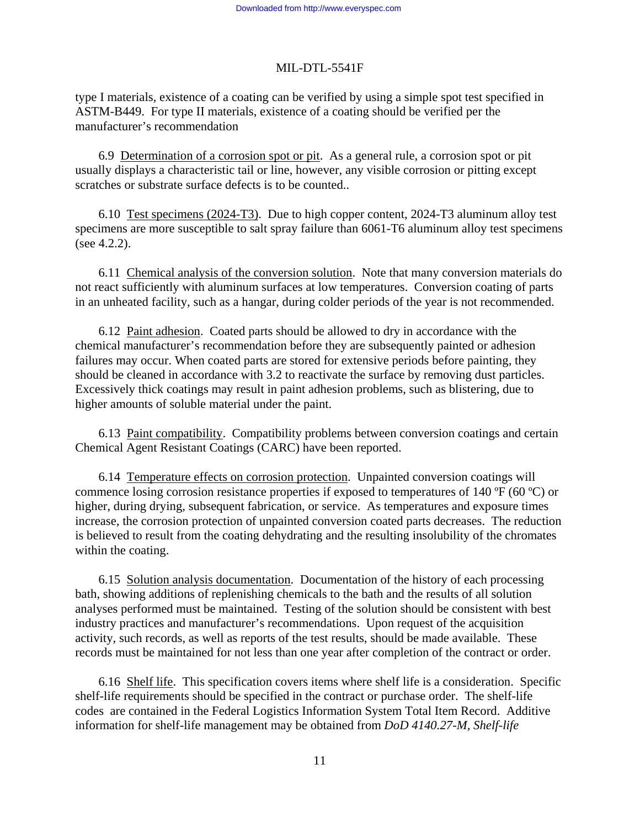type I materials, existence of a coating can be verified by using a simple spot test specified in ASTM-B449. For type II materials, existence of a coating should be verified per the manufacturer's recommendation

 6.9 Determination of a corrosion spot or pit. As a general rule, a corrosion spot or pit usually displays a characteristic tail or line, however, any visible corrosion or pitting except scratches or substrate surface defects is to be counted..

 6.10 Test specimens (2024-T3). Due to high copper content, 2024-T3 aluminum alloy test specimens are more susceptible to salt spray failure than 6061-T6 aluminum alloy test specimens (see 4.2.2).

 6.11 Chemical analysis of the conversion solution. Note that many conversion materials do not react sufficiently with aluminum surfaces at low temperatures. Conversion coating of parts in an unheated facility, such as a hangar, during colder periods of the year is not recommended.

 6.12 Paint adhesion. Coated parts should be allowed to dry in accordance with the chemical manufacturer's recommendation before they are subsequently painted or adhesion failures may occur. When coated parts are stored for extensive periods before painting, they should be cleaned in accordance with 3.2 to reactivate the surface by removing dust particles. Excessively thick coatings may result in paint adhesion problems, such as blistering, due to higher amounts of soluble material under the paint.

 6.13 Paint compatibility. Compatibility problems between conversion coatings and certain Chemical Agent Resistant Coatings (CARC) have been reported.

 6.14 Temperature effects on corrosion protection. Unpainted conversion coatings will commence losing corrosion resistance properties if exposed to temperatures of 140 ºF (60 ºC) or higher, during drying, subsequent fabrication, or service. As temperatures and exposure times increase, the corrosion protection of unpainted conversion coated parts decreases. The reduction is believed to result from the coating dehydrating and the resulting insolubility of the chromates within the coating.

 6.15 Solution analysis documentation. Documentation of the history of each processing bath, showing additions of replenishing chemicals to the bath and the results of all solution analyses performed must be maintained. Testing of the solution should be consistent with best industry practices and manufacturer's recommendations. Upon request of the acquisition activity, such records, as well as reports of the test results, should be made available. These records must be maintained for not less than one year after completion of the contract or order.

 6.16 Shelf life. This specification covers items where shelf life is a consideration. Specific shelf-life requirements should be specified in the contract or purchase order. The shelf-life codes are contained in the Federal Logistics Information System Total Item Record. Additive information for shelf-life management may be obtained from *DoD 4140.27-M, Shelf-life*